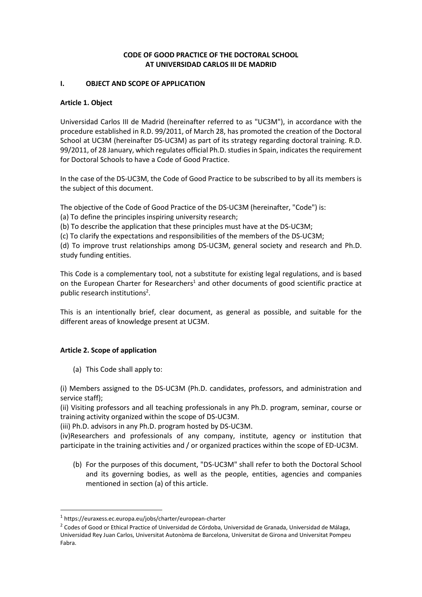## **CODE OF GOOD PRACTICE OF THE DOCTORAL SCHOOL AT UNIVERSIDAD CARLOS III DE MADRID**

## **I. OBJECT AND SCOPE OF APPLICATION**

## **Article 1. Object**

Universidad Carlos III de Madrid (hereinafter referred to as "UC3M"), in accordance with the procedure established in R.D. 99/2011, of March 28, has promoted the creation of the Doctoral School at UC3M (hereinafter DS-UC3M) as part of its strategy regarding doctoral training. R.D. 99/2011, of 28 January, which regulates official Ph.D. studies in Spain, indicates the requirement for Doctoral Schools to have a Code of Good Practice.

In the case of the DS-UC3M, the Code of Good Practice to be subscribed to by all its members is the subject of this document.

The objective of the Code of Good Practice of the DS-UC3M (hereinafter, "Code") is:

(a) To define the principles inspiring university research;

(b) To describe the application that these principles must have at the DS-UC3M;

(c) To clarify the expectations and responsibilities of the members of the DS-UC3M;

(d) To improve trust relationships among DS-UC3M, general society and research and Ph.D. study funding entities.

This Code is a complementary tool, not a substitute for existing legal regulations, and is based on the European Charter for Researchers<sup>1</sup> and other documents of good scientific practice at public research institutions<sup>2</sup>.

This is an intentionally brief, clear document, as general as possible, and suitable for the different areas of knowledge present at UC3M.

# **Article 2. Scope of application**

**.** 

(a) This Code shall apply to:

(i) Members assigned to the DS-UC3M (Ph.D. candidates, professors, and administration and service staff);

(ii) Visiting professors and all teaching professionals in any Ph.D. program, seminar, course or training activity organized within the scope of DS-UC3M.

(iii) Ph.D. advisors in any Ph.D. program hosted by DS-UC3M.

(iv)Researchers and professionals of any company, institute, agency or institution that participate in the training activities and / or organized practices within the scope of ED-UC3M.

(b) For the purposes of this document, "DS-UC3M" shall refer to both the Doctoral School and its governing bodies, as well as the people, entities, agencies and companies mentioned in section (a) of this article.

<sup>1</sup> https://euraxess.ec.europa.eu/jobs/charter/european-charter

<sup>&</sup>lt;sup>2</sup> Codes of Good or Ethical Practice of Universidad de Córdoba, Universidad de Granada, Universidad de Málaga, Universidad Rey Juan Carlos, Universitat Autonòma de Barcelona, Universitat de Girona and Universitat Pompeu Fabra.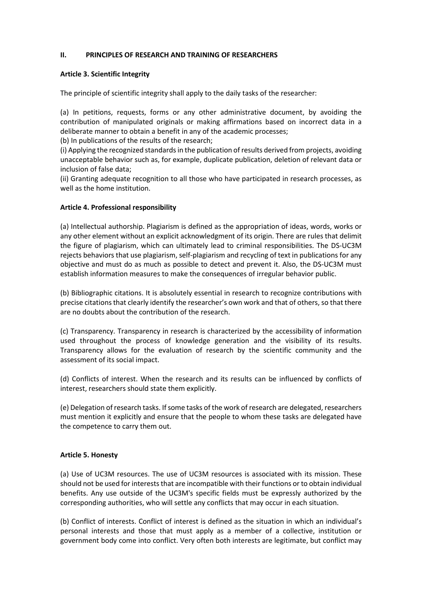## **II. PRINCIPLES OF RESEARCH AND TRAINING OF RESEARCHERS**

### **Article 3. Scientific Integrity**

The principle of scientific integrity shall apply to the daily tasks of the researcher:

(a) In petitions, requests, forms or any other administrative document, by avoiding the contribution of manipulated originals or making affirmations based on incorrect data in a deliberate manner to obtain a benefit in any of the academic processes;

(b) In publications of the results of the research;

(i) Applying the recognized standards in the publication of results derived from projects, avoiding unacceptable behavior such as, for example, duplicate publication, deletion of relevant data or inclusion of false data;

(ii) Granting adequate recognition to all those who have participated in research processes, as well as the home institution.

## **Article 4. Professional responsibility**

(a) Intellectual authorship. Plagiarism is defined as the appropriation of ideas, words, works or any other element without an explicit acknowledgment of its origin. There are rules that delimit the figure of plagiarism, which can ultimately lead to criminal responsibilities. The DS-UC3M rejects behaviors that use plagiarism, self-plagiarism and recycling of text in publications for any objective and must do as much as possible to detect and prevent it. Also, the DS-UC3M must establish information measures to make the consequences of irregular behavior public.

(b) Bibliographic citations. It is absolutely essential in research to recognize contributions with precise citations that clearly identify the researcher's own work and that of others, so that there are no doubts about the contribution of the research.

(c) Transparency. Transparency in research is characterized by the accessibility of information used throughout the process of knowledge generation and the visibility of its results. Transparency allows for the evaluation of research by the scientific community and the assessment of its social impact.

(d) Conflicts of interest. When the research and its results can be influenced by conflicts of interest, researchers should state them explicitly.

(e) Delegation of research tasks. If some tasks of the work of research are delegated, researchers must mention it explicitly and ensure that the people to whom these tasks are delegated have the competence to carry them out.

### **Article 5. Honesty**

(a) Use of UC3M resources. The use of UC3M resources is associated with its mission. These should not be used for interests that are incompatible with their functions orto obtain individual benefits. Any use outside of the UC3M's specific fields must be expressly authorized by the corresponding authorities, who will settle any conflicts that may occur in each situation.

(b) Conflict of interests. Conflict of interest is defined as the situation in which an individual's personal interests and those that must apply as a member of a collective, institution or government body come into conflict. Very often both interests are legitimate, but conflict may